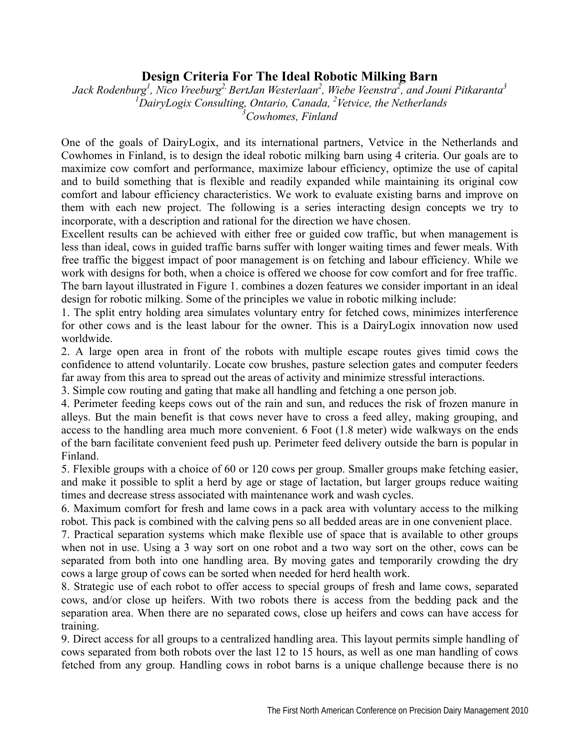## **Design Criteria For The Ideal Robotic Milking Barn**

 $Jack \ Rodenburg<sup>1</sup>, Nico Vreeburg<sup>2,</sup> BertJan Westerlaan<sup>2</sup>, Wiebe Veenstra<sup>2</sup>, and Jouni Pitkaranta<sup>3</sup>$ *1 DairyLogix Consulting, Ontario, Canada, 2 Vetvice, the Netherlands 3 Cowhomes, Finland*

One of the goals of DairyLogix, and its international partners, Vetvice in the Netherlands and Cowhomes in Finland, is to design the ideal robotic milking barn using 4 criteria. Our goals are to maximize cow comfort and performance, maximize labour efficiency, optimize the use of capital and to build something that is flexible and readily expanded while maintaining its original cow comfort and labour efficiency characteristics. We work to evaluate existing barns and improve on them with each new project. The following is a series interacting design concepts we try to incorporate, with a description and rational for the direction we have chosen.

Excellent results can be achieved with either free or guided cow traffic, but when management is less than ideal, cows in guided traffic barns suffer with longer waiting times and fewer meals. With free traffic the biggest impact of poor management is on fetching and labour efficiency. While we work with designs for both, when a choice is offered we choose for cow comfort and for free traffic. The barn layout illustrated in Figure 1. combines a dozen features we consider important in an ideal design for robotic milking. Some of the principles we value in robotic milking include:

1. The split entry holding area simulates voluntary entry for fetched cows, minimizes interference for other cows and is the least labour for the owner. This is a DairyLogix innovation now used worldwide.

2. A large open area in front of the robots with multiple escape routes gives timid cows the confidence to attend voluntarily. Locate cow brushes, pasture selection gates and computer feeders far away from this area to spread out the areas of activity and minimize stressful interactions.

3. Simple cow routing and gating that make all handling and fetching a one person job.

4. Perimeter feeding keeps cows out of the rain and sun, and reduces the risk of frozen manure in alleys. But the main benefit is that cows never have to cross a feed alley, making grouping, and access to the handling area much more convenient. 6 Foot (1.8 meter) wide walkways on the ends of the barn facilitate convenient feed push up. Perimeter feed delivery outside the barn is popular in Finland.

5. Flexible groups with a choice of 60 or 120 cows per group. Smaller groups make fetching easier, and make it possible to split a herd by age or stage of lactation, but larger groups reduce waiting times and decrease stress associated with maintenance work and wash cycles.

6. Maximum comfort for fresh and lame cows in a pack area with voluntary access to the milking robot. This pack is combined with the calving pens so all bedded areas are in one convenient place.

7. Practical separation systems which make flexible use of space that is available to other groups when not in use. Using a 3 way sort on one robot and a two way sort on the other, cows can be separated from both into one handling area. By moving gates and temporarily crowding the dry cows a large group of cows can be sorted when needed for herd health work.

8. Strategic use of each robot to offer access to special groups of fresh and lame cows, separated cows, and/or close up heifers. With two robots there is access from the bedding pack and the separation area. When there are no separated cows, close up heifers and cows can have access for training.

9. Direct access for all groups to a centralized handling area. This layout permits simple handling of cows separated from both robots over the last 12 to 15 hours, as well as one man handling of cows fetched from any group. Handling cows in robot barns is a unique challenge because there is no